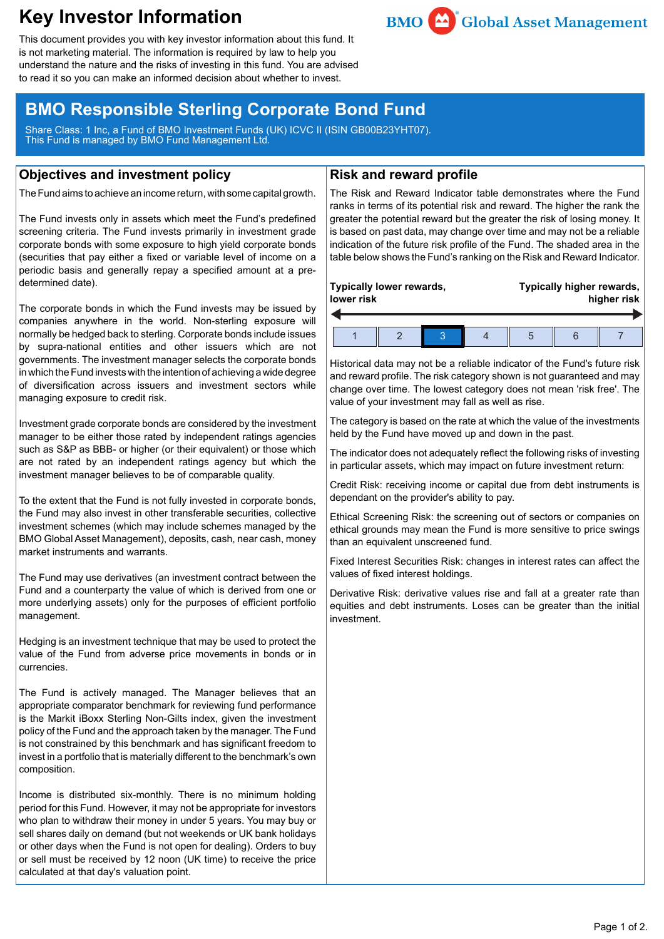# **Key Investor Information**



This document provides you with key investor information about this fund. It is not marketing material. The information is required by law to help you understand the nature and the risks of investing in this fund. You are advised to read it so you can make an informed decision about whether to invest.

## **BMO Responsible Sterling Corporate Bond Fund**

Share Class: 1 Inc, a Fund of BMO Investment Funds (UK) ICVC II (ISIN GB00B23YHT07). This Fund is managed by BMO Fund Management Ltd.

#### **Objectives and investment policy**

The Fund aims to achieve an income return, with some capital growth.

The Fund invests only in assets which meet the Fund's predefined screening criteria. The Fund invests primarily in investment grade corporate bonds with some exposure to high yield corporate bonds (securities that pay either a fixed or variable level of income on a periodic basis and generally repay a specified amount at a predetermined date).

The corporate bonds in which the Fund invests may be issued by companies anywhere in the world. Non-sterling exposure will normally be hedged back to sterling. Corporate bonds include issues by supra-national entities and other issuers which are not governments. The investment manager selects the corporate bonds in which the Fund invests with the intention of achieving a wide degree of diversification across issuers and investment sectors while managing exposure to credit risk.

Investment grade corporate bonds are considered by the investment manager to be either those rated by independent ratings agencies such as S&P as BBB- or higher (or their equivalent) or those which are not rated by an independent ratings agency but which the investment manager believes to be of comparable quality.

To the extent that the Fund is not fully invested in corporate bonds, the Fund may also invest in other transferable securities, collective investment schemes (which may include schemes managed by the BMO Global Asset Management), deposits, cash, near cash, money market instruments and warrants.

The Fund may use derivatives (an investment contract between the Fund and a counterparty the value of which is derived from one or more underlying assets) only for the purposes of efficient portfolio management.

Hedging is an investment technique that may be used to protect the value of the Fund from adverse price movements in bonds or in currencies.

The Fund is actively managed. The Manager believes that an appropriate comparator benchmark for reviewing fund performance is the Markit iBoxx Sterling Non-Gilts index, given the investment policy of the Fund and the approach taken by the manager. The Fund is not constrained by this benchmark and has significant freedom to invest in a portfolio that is materially different to the benchmark's own composition.

Income is distributed six-monthly. There is no minimum holding period for this Fund. However, it may not be appropriate for investors who plan to withdraw their money in under 5 years. You may buy or sell shares daily on demand (but not weekends or UK bank holidays or other days when the Fund is not open for dealing). Orders to buy or sell must be received by 12 noon (UK time) to receive the price calculated at that day's valuation point.

### **Risk and reward profile**

The Risk and Reward Indicator table demonstrates where the Fund ranks in terms of its potential risk and reward. The higher the rank the greater the potential reward but the greater the risk of losing money. It is based on past data, may change over time and may not be a reliable indication of the future risk profile of the Fund. The shaded area in the table below shows the Fund's ranking on the Risk and Reward Indicator.

| Typically lower rewards, |  |  |  |  | Typically higher rewards, |  |  |
|--------------------------|--|--|--|--|---------------------------|--|--|
| lower risk               |  |  |  |  | higher risk               |  |  |
|                          |  |  |  |  |                           |  |  |

Historical data may not be a reliable indicator of the Fund's future risk and reward profile. The risk category shown is not guaranteed and may change over time. The lowest category does not mean 'risk free'. The value of your investment may fall as well as rise.

The category is based on the rate at which the value of the investments held by the Fund have moved up and down in the past.

The indicator does not adequately reflect the following risks of investing in particular assets, which may impact on future investment return:

Credit Risk: receiving income or capital due from debt instruments is dependant on the provider's ability to pay.

Ethical Screening Risk: the screening out of sectors or companies on ethical grounds may mean the Fund is more sensitive to price swings than an equivalent unscreened fund.

Fixed Interest Securities Risk: changes in interest rates can affect the values of fixed interest holdings.

Derivative Risk: derivative values rise and fall at a greater rate than equities and debt instruments. Loses can be greater than the initial investment.